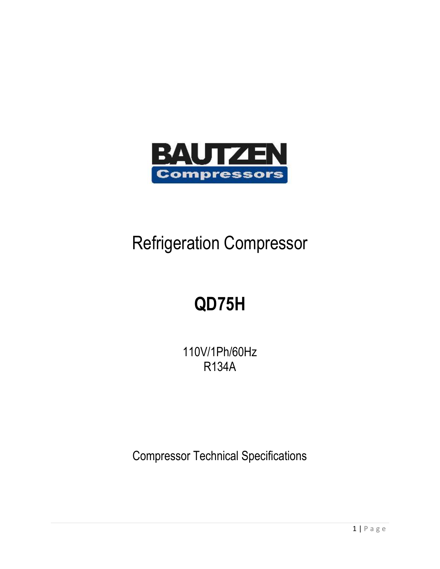

### Refrigeration Compressor

## **QD75H**

110V/1Ph/60Hz R134A

Compressor Technical Specifications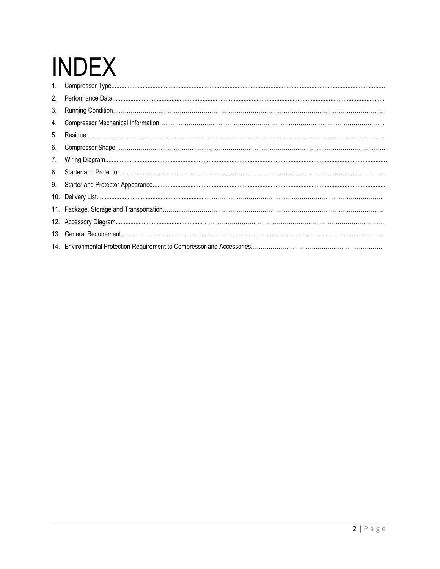# **INDEX**

| 2 <sub>1</sub> |  |
|----------------|--|
| 3.             |  |
| 4.             |  |
| 5.             |  |
| 6.             |  |
| 7.             |  |
| 8.             |  |
| 9.             |  |
|                |  |
|                |  |
|                |  |
|                |  |
|                |  |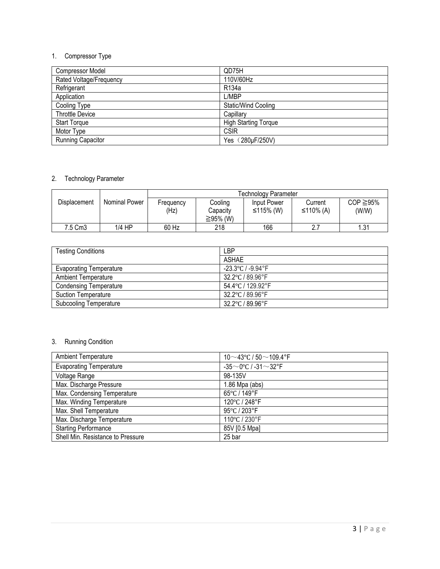#### 1. Compressor Type

| <b>Compressor Model</b>  | QD75H                       |
|--------------------------|-----------------------------|
| Rated Voltage/Frequency  | 110V/60Hz                   |
| Refrigerant              | R <sub>134</sub> a          |
| Application              | L/MBP                       |
| Cooling Type             | Static/Wind Cooling         |
| <b>Throttle Device</b>   | Capillary                   |
| <b>Start Torque</b>      | <b>High Starting Torque</b> |
| Motor Type               | <b>CSIR</b>                 |
| <b>Running Capacitor</b> | Yes (280µF/250V)            |
|                          |                             |

#### 2. Technology Parameter

|                     |               |                   |                                 | <b>Technology Parameter</b> |                      |                         |
|---------------------|---------------|-------------------|---------------------------------|-----------------------------|----------------------|-------------------------|
| <b>Displacement</b> | Nominal Power | Frequency<br>(Hz) | Cooling<br>Capacity<br>≧95% (W) | Input Power<br>≤115% (W)    | Current<br>≤110% (A) | $COP \ge 95\%$<br>(W/W) |
| 7.5 Cm3             | 1/4 HP        | 60 Hz             | 218                             | 166                         | 2.7                  | . 31                    |

| <b>Testing Conditions</b>      | LBP               |
|--------------------------------|-------------------|
|                                | ASHAE             |
| <b>Evaporating Temperature</b> | -23.3°C / -9.94°F |
| <b>Ambient Temperature</b>     | 32.2°C / 89.96°F  |
| <b>Condensing Temperature</b>  | 54.4°C / 129.92°F |
| <b>Suction Temperature</b>     | 32.2°C / 89.96°F  |
| <b>Subcooling Temperature</b>  | 32.2°C / 89.96°F  |

#### 3. Running Condition

| <b>Ambient Temperature</b>        | 10 $\sim$ 43°C / 50 $\sim$ 109.4°F |
|-----------------------------------|------------------------------------|
| <b>Evaporating Temperature</b>    | $-35$ ~0°C / -31~32°F              |
| Voltage Range                     | 98-135V                            |
| Max. Discharge Pressure           | $1.86$ Mpa (abs)                   |
| Max. Condensing Temperature       | 65°C / 149°F                       |
| Max. Winding Temperature          | 120°C / 248°F                      |
| Max. Shell Temperature            | 95°C / 203°F                       |
| Max. Discharge Temperature        | 110°C / 230°F                      |
| <b>Starting Performance</b>       | 85V [0.5 Mpa]                      |
| Shell Min. Resistance to Pressure | 25 bar                             |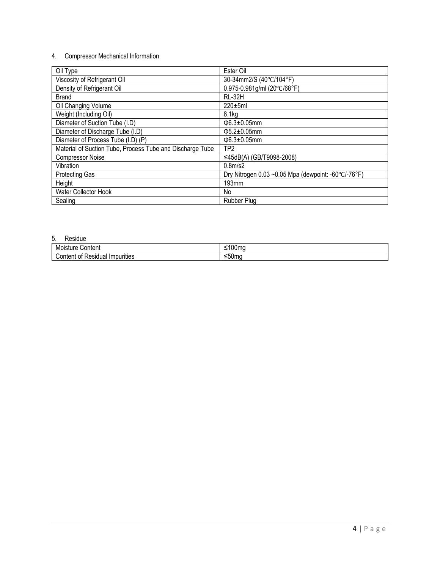#### 4. Compressor Mechanical Information

| Oil Type                                                  | Ester Oil                                                                 |
|-----------------------------------------------------------|---------------------------------------------------------------------------|
| Viscosity of Refrigerant Oil                              | 30-34mm2/S (40°C/104°F)                                                   |
| Density of Refrigerant Oil                                | 0.975-0.981g/ml (20°C/68°F)                                               |
| <b>Brand</b>                                              | <b>RL-32H</b>                                                             |
| Oil Changing Volume                                       | $220\pm 5$ ml                                                             |
| Weight (Including Oil)                                    | 8.1 <sub>kq</sub>                                                         |
| Diameter of Suction Tube (I.D)                            | $\Phi$ 6.3±0.05mm                                                         |
| Diameter of Discharge Tube (I.D)                          | $\Phi$ 5.2±0.05mm                                                         |
| Diameter of Process Tube (I.D) (P)                        | $\Phi$ 6.3±0.05mm                                                         |
| Material of Suction Tube, Process Tube and Discharge Tube | TP <sub>2</sub>                                                           |
| <b>Compressor Noise</b>                                   | ≤45dB(A) (GB/T9098-2008)                                                  |
| Vibration                                                 | 0.8 <sub>m</sub> /s2                                                      |
| <b>Protecting Gas</b>                                     | Dry Nitrogen $0.03$ ~0.05 Mpa (dewpoint: -60 $\degree$ C/-76 $\degree$ F) |
| Height                                                    | 193mm                                                                     |
| Water Collector Hook                                      | No                                                                        |
| Sealing                                                   | <b>Rubber Plug</b>                                                        |

#### 5. Residue

| Content                                                                                        | . In             |
|------------------------------------------------------------------------------------------------|------------------|
| M                                                                                              | -                |
| SI.                                                                                            | . U U            |
| u e                                                                                            |                  |
| $\cdots$<br>$\cdot$ $\cdot$ $\cdot$<br>Impurities<br>∟ەم<br>`∩nו.<br>0t<br>птеть<br>. Jesiuudi | - -<br><br>יווטע |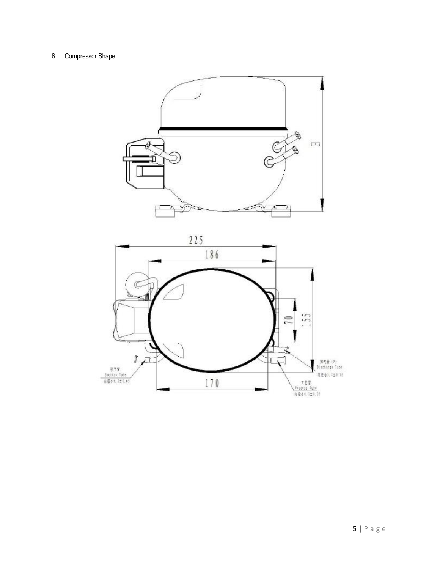#### 6. Compressor Shape

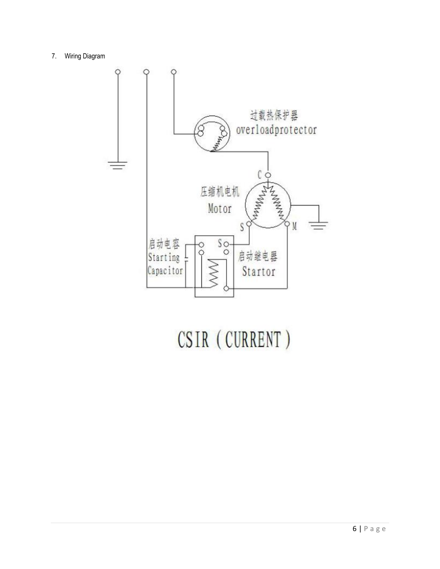7. Wiring Diagram



## CSIR (CURRENT)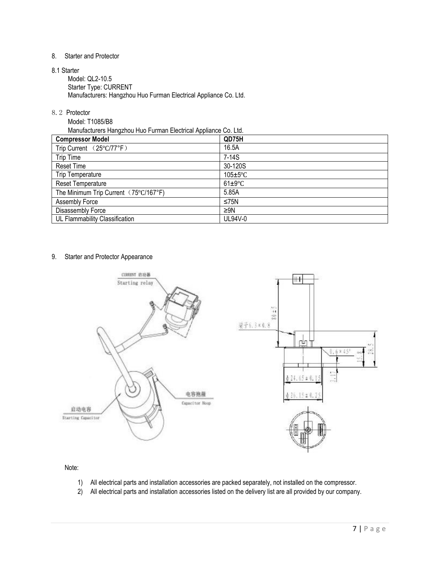#### 8. Starter and Protector

8.1 Starter

Model: QL2-10.5 Starter Type: CURRENT Manufacturers: Hangzhou Huo Furman Electrical Appliance Co. Ltd.

8.2 Protector

Model: T1085/B8

Manufacturers Hangzhou Huo Furman Electrical Appliance Co. Ltd.

| . .                                   |                |
|---------------------------------------|----------------|
| <b>Compressor Model</b>               | QD75H          |
| Trip Current (25°C/77°F)              | 16.5A          |
| Trip Time                             | $7-14S$        |
| <b>Reset Time</b>                     | 30-120S        |
| <b>Trip Temperature</b>               | $105 \pm 5$ °C |
| <b>Reset Temperature</b>              | $61 \pm 9$ °C  |
| The Minimum Trip Current (75°C/167°F) | 5.85A          |
| Assembly Force                        | ≤75N           |
| Disassembly Force                     | $\geq$ 9N      |
| UL Flammability Classification        | UL94V-0        |

#### 9. Starter and Protector Appearance



Note:

- 1) All electrical parts and installation accessories are packed separately, not installed on the compressor.
- 2) All electrical parts and installation accessories listed on the delivery list are all provided by our company.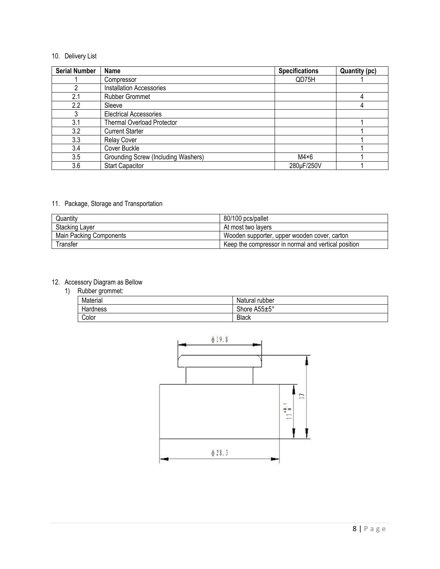#### 10. Delivery List

| <b>Serial Number</b> | <b>Name</b>                         | <b>Specifications</b> | <b>Quantity (pc)</b> |
|----------------------|-------------------------------------|-----------------------|----------------------|
|                      | Compressor                          | QD75H                 |                      |
|                      | <b>Installation Accessories</b>     |                       |                      |
| 2.1                  | <b>Rubber Grommet</b>               |                       |                      |
| 2.2                  | Sleeve                              |                       |                      |
|                      | <b>Electrical Accessories</b>       |                       |                      |
| 3.1                  | <b>Thermal Overload Protector</b>   |                       |                      |
| 3.2                  | <b>Current Starter</b>              |                       |                      |
| 3.3                  | <b>Relay Cover</b>                  |                       |                      |
| 3.4                  | Cover Buckle                        |                       |                      |
| 3.5                  | Grounding Screw (Including Washers) | $M4\times 6$          |                      |
| 3.6                  | <b>Start Capacitor</b>              | 280µF/250V            |                      |

#### 11. Package, Storage and Transportation

| Quantity                | 80/100 pcs/pallet                                   |
|-------------------------|-----------------------------------------------------|
| <b>Stacking Layer</b>   | At most two lavers                                  |
| Main Packing Components | Wooden supporter, upper wooden cover, carton        |
| Transfer                | Keep the compressor in normal and vertical position |

#### 12. Accessory Diagram as Bellow

1) Rubber grommet:

| 1.9888001910111110011 |                |
|-----------------------|----------------|
| Material              | Natural rubber |
| Hardness              | Shore A55±5°   |
| Color                 | <b>Black</b>   |

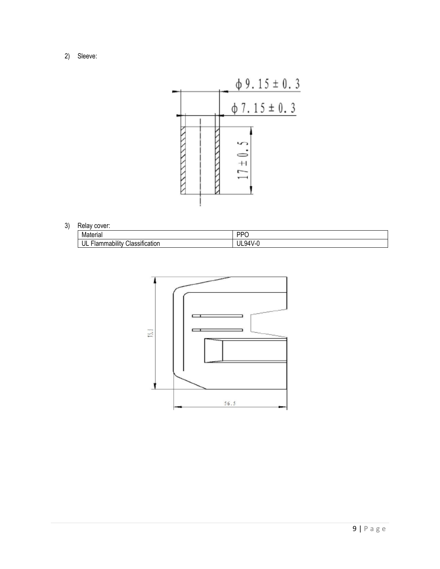2) Sleeve:



#### 3) Relay cover:

| Material                                                              | DDC      |  |
|-----------------------------------------------------------------------|----------|--|
| $\cdot$ $\cdot$<br><br>$\sim$<br>UL<br>Classification<br>·lammability | Jl<br>QΔ |  |

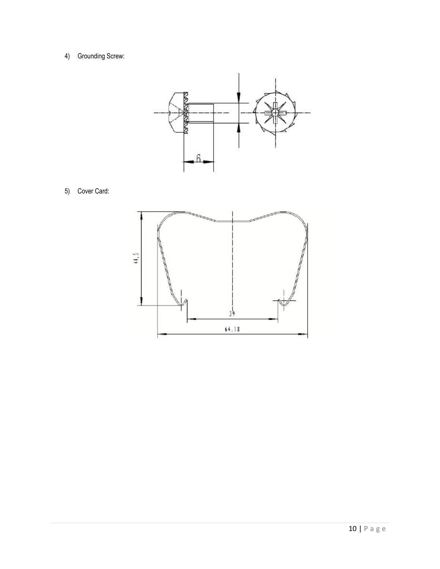4) Grounding Screw:



5) Cover Card: